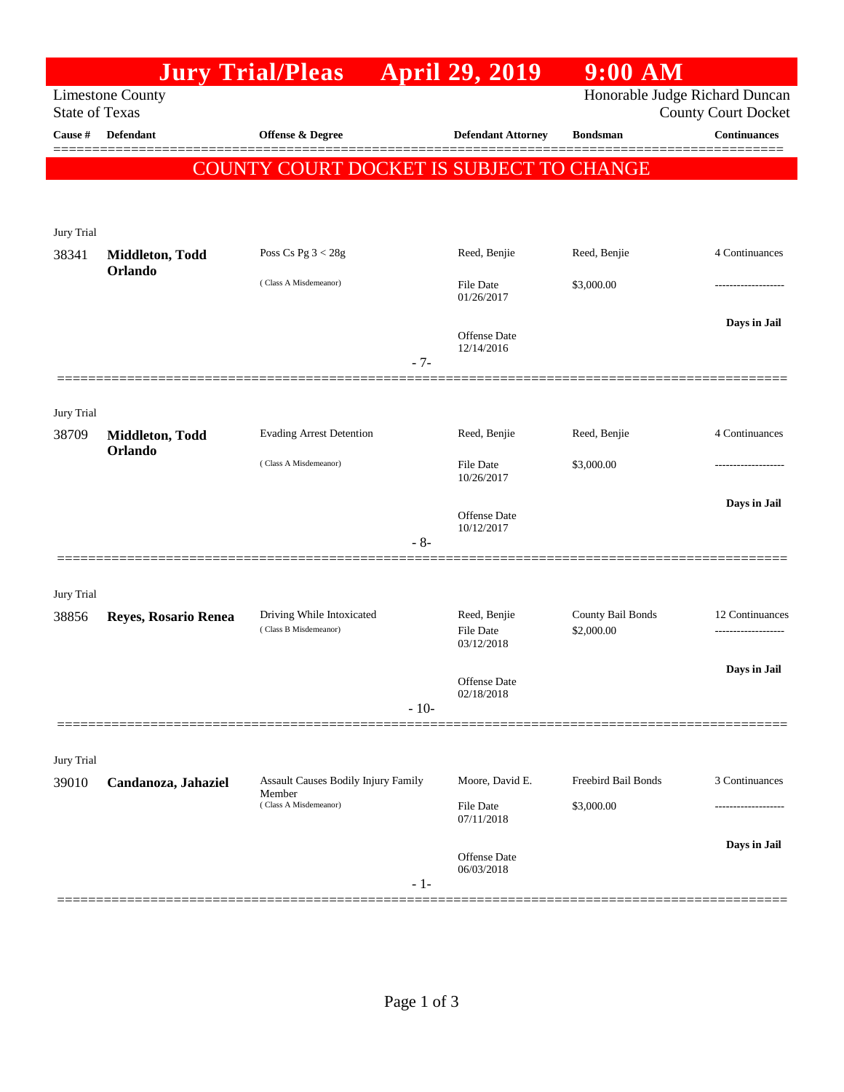|                                                                                    |                                          | <b>Jury Trial/Pleas</b>                            |        | <b>April 29, 2019</b>                   | $9:00$ AM                       |                            |  |  |
|------------------------------------------------------------------------------------|------------------------------------------|----------------------------------------------------|--------|-----------------------------------------|---------------------------------|----------------------------|--|--|
| Honorable Judge Richard Duncan<br><b>Limestone County</b><br><b>State of Texas</b> |                                          |                                                    |        |                                         |                                 | <b>County Court Docket</b> |  |  |
| Cause #                                                                            | Defendant                                | Offense & Degree                                   |        | <b>Defendant Attorney</b>               | <b>Bondsman</b>                 | <b>Continuances</b>        |  |  |
|                                                                                    | COUNTY COURT DOCKET IS SUBJECT TO CHANGE |                                                    |        |                                         |                                 |                            |  |  |
|                                                                                    |                                          |                                                    |        |                                         |                                 |                            |  |  |
| Jury Trial                                                                         |                                          |                                                    |        |                                         |                                 |                            |  |  |
| 38341                                                                              | Middleton, Todd<br>Orlando               | Poss Cs Pg $3 < 28g$                               |        | Reed, Benjie                            | Reed, Benjie                    | 4 Continuances             |  |  |
|                                                                                    |                                          | (Class A Misdemeanor)                              |        | File Date<br>01/26/2017                 | \$3,000.00                      | .                          |  |  |
|                                                                                    |                                          |                                                    | $-7-$  | <b>Offense</b> Date<br>12/14/2016       |                                 | Days in Jail               |  |  |
|                                                                                    |                                          |                                                    |        |                                         |                                 |                            |  |  |
| Jury Trial<br>38709                                                                | Middleton, Todd                          | <b>Evading Arrest Detention</b>                    |        | Reed, Benjie                            | Reed, Benjie                    | 4 Continuances             |  |  |
|                                                                                    | Orlando                                  | (Class A Misdemeanor)                              |        | <b>File Date</b><br>10/26/2017          | \$3,000.00                      |                            |  |  |
|                                                                                    |                                          |                                                    | $-8-$  | Offense Date<br>10/12/2017              |                                 | Days in Jail               |  |  |
|                                                                                    |                                          |                                                    |        |                                         |                                 |                            |  |  |
| Jury Trial                                                                         |                                          |                                                    |        |                                         |                                 |                            |  |  |
| 38856                                                                              | Reyes, Rosario Renea                     | Driving While Intoxicated<br>(Class B Misdemeanor) |        | Reed, Benjie<br>File Date<br>03/12/2018 | County Bail Bonds<br>\$2,000.00 | 12 Continuances            |  |  |
|                                                                                    |                                          |                                                    |        | Offense Date<br>02/18/2018              |                                 | Days in Jail               |  |  |
|                                                                                    |                                          |                                                    | $-10-$ |                                         |                                 |                            |  |  |
|                                                                                    |                                          |                                                    |        |                                         |                                 |                            |  |  |
| Jury Trial<br>39010                                                                | Candanoza, Jahaziel                      | <b>Assault Causes Bodily Injury Family</b>         |        | Moore, David E.                         | Freebird Bail Bonds             | 3 Continuances             |  |  |
|                                                                                    |                                          | Member<br>(Class A Misdemeanor)                    |        | File Date                               | \$3,000.00                      |                            |  |  |
|                                                                                    |                                          |                                                    |        | 07/11/2018                              |                                 |                            |  |  |
|                                                                                    |                                          |                                                    | - 1-   | Offense Date<br>06/03/2018              |                                 | Days in Jail               |  |  |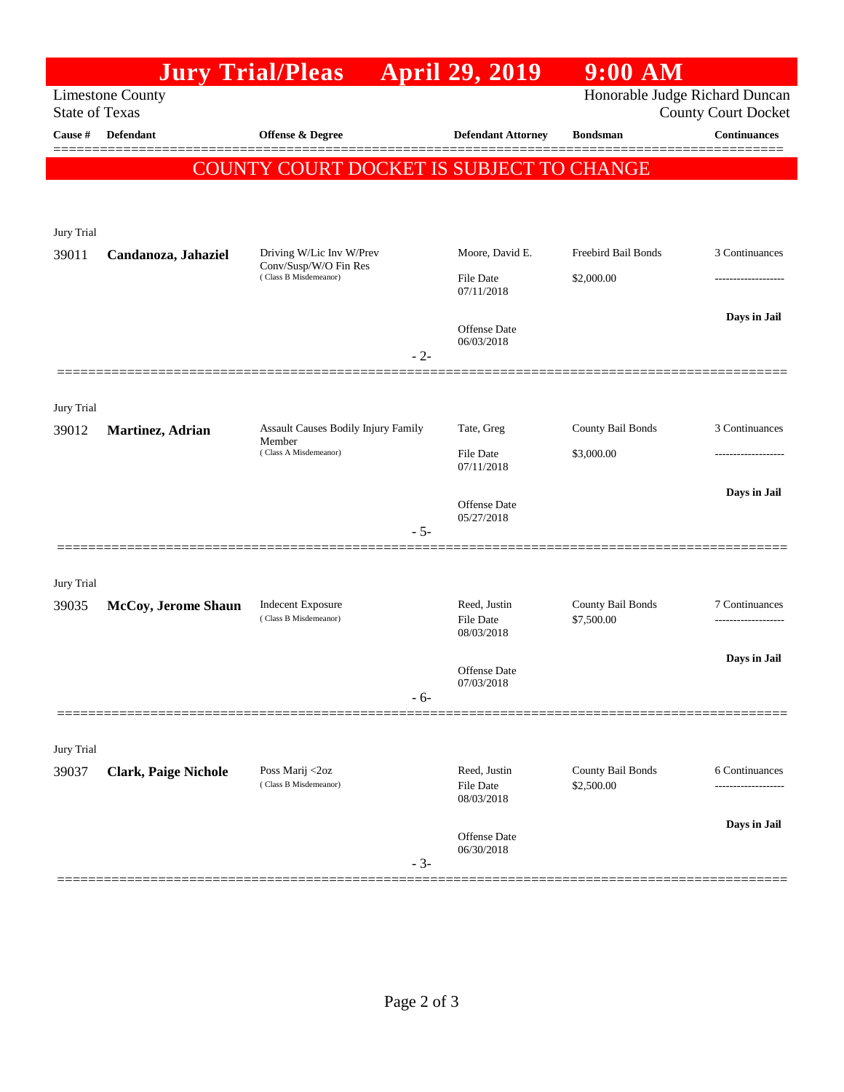|                       |                             | <b>Jury Trial/Pleas</b>                                                             |       | <b>April 29, 2019</b>                             | $9:00$ AM                         |                            |
|-----------------------|-----------------------------|-------------------------------------------------------------------------------------|-------|---------------------------------------------------|-----------------------------------|----------------------------|
| <b>State of Texas</b> | <b>Limestone County</b>     |                                                                                     |       |                                                   | Honorable Judge Richard Duncan    | <b>County Court Docket</b> |
| Cause #               | <b>Defendant</b>            | Offense & Degree                                                                    |       | <b>Defendant Attorney</b>                         | <b>Bondsman</b>                   | <b>Continuances</b>        |
|                       |                             | COUNTY COURT DOCKET IS SUBJECT TO CHANGE                                            |       |                                                   |                                   |                            |
| Jury Trial            |                             |                                                                                     |       |                                                   |                                   |                            |
| 39011                 | Candanoza, Jahaziel         | Driving W/Lic Inv W/Prev<br>Conv/Susp/W/O Fin Res<br>(Class B Misdemeanor)<br>$-2-$ |       | Moore, David E.<br><b>File Date</b><br>07/11/2018 | Freebird Bail Bonds<br>\$2,000.00 | 3 Continuances<br>.        |
|                       |                             |                                                                                     |       | <b>Offense Date</b><br>06/03/2018                 |                                   | Days in Jail               |
| Jury Trial            |                             |                                                                                     |       |                                                   |                                   |                            |
| 39012                 | Martinez, Adrian            | Assault Causes Bodily Injury Family<br>Member<br>(Class A Misdemeanor)              |       | Tate, Greg<br><b>File Date</b><br>07/11/2018      | County Bail Bonds<br>\$3,000.00   | 3 Continuances             |
|                       |                             |                                                                                     | $-5-$ | <b>Offense Date</b><br>05/27/2018                 |                                   | Days in Jail               |
| Jury Trial            |                             |                                                                                     |       |                                                   |                                   |                            |
| 39035                 | McCoy, Jerome Shaun         | <b>Indecent Exposure</b><br>(Class B Misdemeanor)                                   |       | Reed, Justin<br>File Date<br>08/03/2018           | County Bail Bonds<br>\$7,500.00   | 7 Continuances             |
|                       |                             |                                                                                     | $-6-$ | <b>Offense</b> Date<br>07/03/2018                 |                                   | Days in Jail               |
| Jury Trial            |                             |                                                                                     |       |                                                   |                                   |                            |
| 39037                 | <b>Clark, Paige Nichole</b> | Poss Marij <2oz<br>(Class B Misdemeanor)                                            |       | Reed, Justin<br><b>File Date</b><br>08/03/2018    | County Bail Bonds<br>\$2,500.00   | 6 Continuances             |
|                       |                             |                                                                                     | $-3-$ | Offense Date<br>06/30/2018                        |                                   | Days in Jail               |